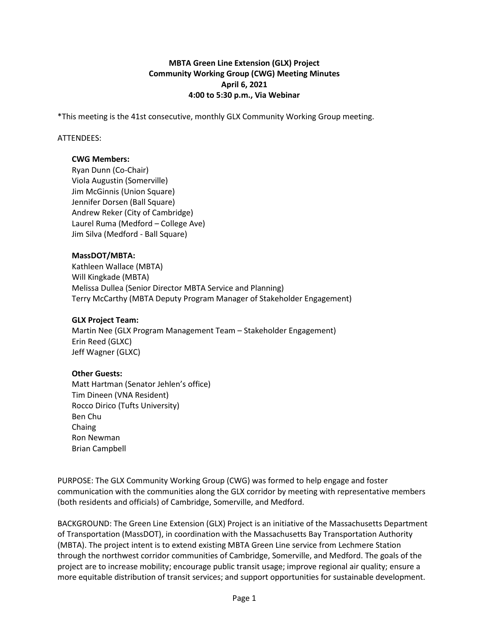## **MBTA Green Line Extension (GLX) Project Community Working Group (CWG) Meeting Minutes April 6, 2021 4:00 to 5:30 p.m., Via Webinar**

\*This meeting is the 41st consecutive, monthly GLX Community Working Group meeting.

### ATTENDEES:

### **CWG Members:**

Ryan Dunn (Co-Chair) Viola Augustin (Somerville) Jim McGinnis (Union Square) Jennifer Dorsen (Ball Square) Andrew Reker (City of Cambridge) Laurel Ruma (Medford – College Ave) Jim Silva (Medford - Ball Square)

### **MassDOT/MBTA:**

Kathleen Wallace (MBTA) Will Kingkade (MBTA) Melissa Dullea (Senior Director MBTA Service and Planning) Terry McCarthy (MBTA Deputy Program Manager of Stakeholder Engagement)

### **GLX Project Team:**

Martin Nee (GLX Program Management Team – Stakeholder Engagement) Erin Reed (GLXC) Jeff Wagner (GLXC)

# **Other Guests:**

Matt Hartman (Senator Jehlen's office) Tim Dineen (VNA Resident) Rocco Dirico (Tufts University) Ben Chu Chaing Ron Newman Brian Campbell

PURPOSE: The GLX Community Working Group (CWG) was formed to help engage and foster communication with the communities along the GLX corridor by meeting with representative members (both residents and officials) of Cambridge, Somerville, and Medford.

BACKGROUND: The Green Line Extension (GLX) Project is an initiative of the Massachusetts Department of Transportation (MassDOT), in coordination with the Massachusetts Bay Transportation Authority (MBTA). The project intent is to extend existing MBTA Green Line service from Lechmere Station through the northwest corridor communities of Cambridge, Somerville, and Medford. The goals of the project are to increase mobility; encourage public transit usage; improve regional air quality; ensure a more equitable distribution of transit services; and support opportunities for sustainable development.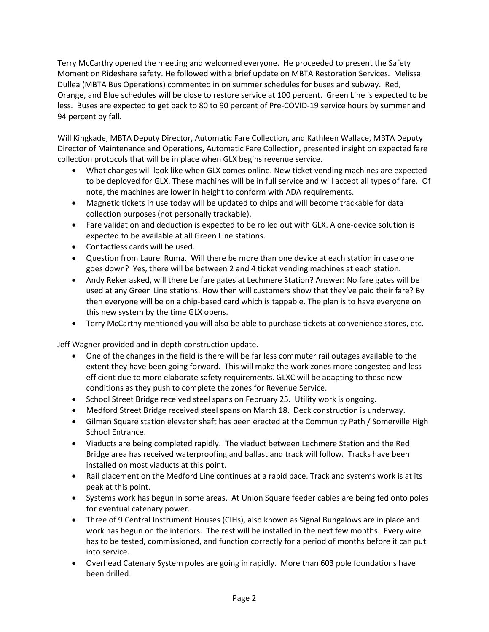Terry McCarthy opened the meeting and welcomed everyone. He proceeded to present the Safety Moment on Rideshare safety. He followed with a brief update on MBTA Restoration Services. Melissa Dullea (MBTA Bus Operations) commented in on summer schedules for buses and subway. Red, Orange, and Blue schedules will be close to restore service at 100 percent. Green Line is expected to be less. Buses are expected to get back to 80 to 90 percent of Pre-COVID-19 service hours by summer and 94 percent by fall.

Will Kingkade, MBTA Deputy Director, Automatic Fare Collection, and Kathleen Wallace, MBTA Deputy Director of Maintenance and Operations, Automatic Fare Collection, presented insight on expected fare collection protocols that will be in place when GLX begins revenue service.

- What changes will look like when GLX comes online. New ticket vending machines are expected to be deployed for GLX. These machines will be in full service and will accept all types of fare. Of note, the machines are lower in height to conform with ADA requirements.
- Magnetic tickets in use today will be updated to chips and will become trackable for data collection purposes (not personally trackable).
- Fare validation and deduction is expected to be rolled out with GLX. A one-device solution is expected to be available at all Green Line stations.
- Contactless cards will be used.
- Question from Laurel Ruma. Will there be more than one device at each station in case one goes down? Yes, there will be between 2 and 4 ticket vending machines at each station.
- Andy Reker asked, will there be fare gates at Lechmere Station? Answer: No fare gates will be used at any Green Line stations. How then will customers show that they've paid their fare? By then everyone will be on a chip-based card which is tappable. The plan is to have everyone on this new system by the time GLX opens.
- Terry McCarthy mentioned you will also be able to purchase tickets at convenience stores, etc.

Jeff Wagner provided and in-depth construction update.

- One of the changes in the field is there will be far less commuter rail outages available to the extent they have been going forward. This will make the work zones more congested and less efficient due to more elaborate safety requirements. GLXC will be adapting to these new conditions as they push to complete the zones for Revenue Service.
- School Street Bridge received steel spans on February 25. Utility work is ongoing.
- Medford Street Bridge received steel spans on March 18. Deck construction is underway.
- Gilman Square station elevator shaft has been erected at the Community Path / Somerville High School Entrance.
- Viaducts are being completed rapidly. The viaduct between Lechmere Station and the Red Bridge area has received waterproofing and ballast and track will follow. Tracks have been installed on most viaducts at this point.
- Rail placement on the Medford Line continues at a rapid pace. Track and systems work is at its peak at this point.
- Systems work has begun in some areas. At Union Square feeder cables are being fed onto poles for eventual catenary power.
- Three of 9 Central Instrument Houses (CIHs), also known as Signal Bungalows are in place and work has begun on the interiors. The rest will be installed in the next few months. Every wire has to be tested, commissioned, and function correctly for a period of months before it can put into service.
- Overhead Catenary System poles are going in rapidly. More than 603 pole foundations have been drilled.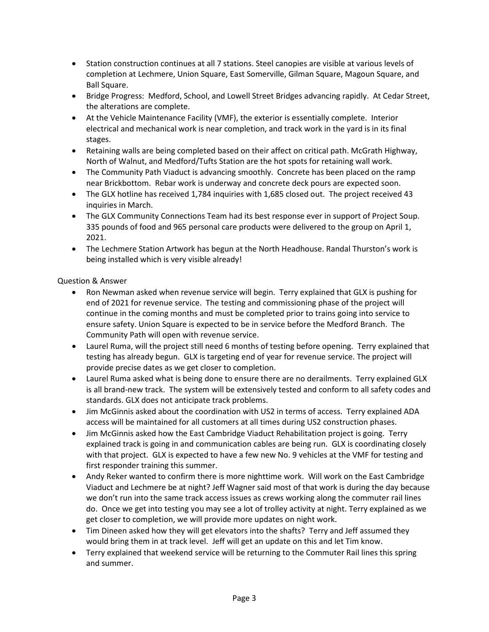- Station construction continues at all 7 stations. Steel canopies are visible at various levels of completion at Lechmere, Union Square, East Somerville, Gilman Square, Magoun Square, and Ball Square.
- Bridge Progress: Medford, School, and Lowell Street Bridges advancing rapidly. At Cedar Street, the alterations are complete.
- At the Vehicle Maintenance Facility (VMF), the exterior is essentially complete. Interior electrical and mechanical work is near completion, and track work in the yard is in its final stages.
- Retaining walls are being completed based on their affect on critical path. McGrath Highway, North of Walnut, and Medford/Tufts Station are the hot spots for retaining wall work.
- The Community Path Viaduct is advancing smoothly. Concrete has been placed on the ramp near Brickbottom. Rebar work is underway and concrete deck pours are expected soon.
- The GLX hotline has received 1,784 inquiries with 1,685 closed out. The project received 43 inquiries in March.
- The GLX Community Connections Team had its best response ever in support of Project Soup. 335 pounds of food and 965 personal care products were delivered to the group on April 1, 2021.
- The Lechmere Station Artwork has begun at the North Headhouse. Randal Thurston's work is being installed which is very visible already!

Question & Answer

- Ron Newman asked when revenue service will begin. Terry explained that GLX is pushing for end of 2021 for revenue service. The testing and commissioning phase of the project will continue in the coming months and must be completed prior to trains going into service to ensure safety. Union Square is expected to be in service before the Medford Branch. The Community Path will open with revenue service.
- Laurel Ruma, will the project still need 6 months of testing before opening. Terry explained that testing has already begun. GLX is targeting end of year for revenue service. The project will provide precise dates as we get closer to completion.
- Laurel Ruma asked what is being done to ensure there are no derailments. Terry explained GLX is all brand-new track. The system will be extensively tested and conform to all safety codes and standards. GLX does not anticipate track problems.
- Jim McGinnis asked about the coordination with US2 in terms of access. Terry explained ADA access will be maintained for all customers at all times during US2 construction phases.
- Jim McGinnis asked how the East Cambridge Viaduct Rehabilitation project is going. Terry explained track is going in and communication cables are being run. GLX is coordinating closely with that project. GLX is expected to have a few new No. 9 vehicles at the VMF for testing and first responder training this summer.
- Andy Reker wanted to confirm there is more nighttime work. Will work on the East Cambridge Viaduct and Lechmere be at night? Jeff Wagner said most of that work is during the day because we don't run into the same track access issues as crews working along the commuter rail lines do. Once we get into testing you may see a lot of trolley activity at night. Terry explained as we get closer to completion, we will provide more updates on night work.
- Tim Dineen asked how they will get elevators into the shafts? Terry and Jeff assumed they would bring them in at track level. Jeff will get an update on this and let Tim know.
- Terry explained that weekend service will be returning to the Commuter Rail lines this spring and summer.